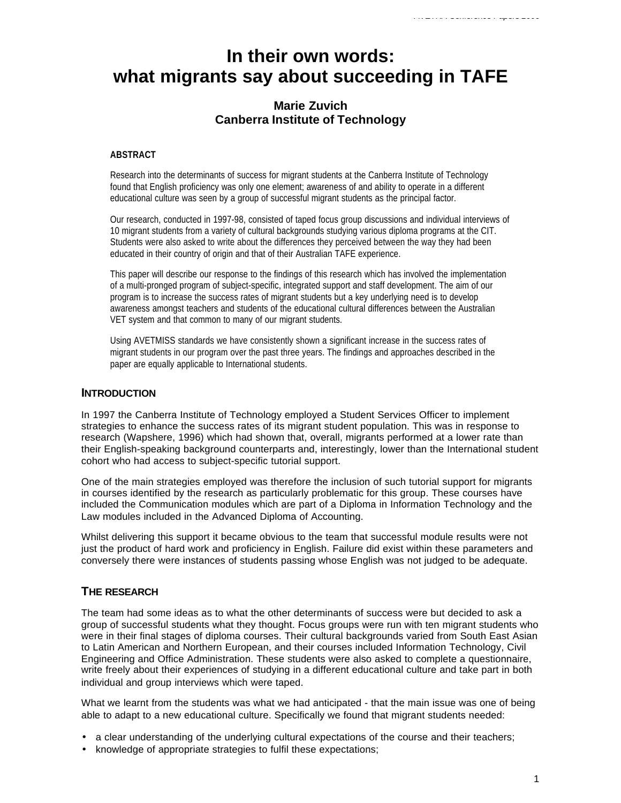# **In their own words: what migrants say about succeeding in TAFE**

## **Marie Zuvich Canberra Institute of Technology**

#### **ABSTRACT**

Research into the determinants of success for migrant students at the Canberra Institute of Technology found that English proficiency was only one element; awareness of and ability to operate in a different educational culture was seen by a group of successful migrant students as the principal factor.

Our research, conducted in 1997-98, consisted of taped focus group discussions and individual interviews of 10 migrant students from a variety of cultural backgrounds studying various diploma programs at the CIT. Students were also asked to write about the differences they perceived between the way they had been educated in their country of origin and that of their Australian TAFE experience.

This paper will describe our response to the findings of this research which has involved the implementation of a multi-pronged program of subject-specific, integrated support and staff development. The aim of our program is to increase the success rates of migrant students but a key underlying need is to develop awareness amongst teachers and students of the educational cultural differences between the Australian VET system and that common to many of our migrant students.

Using AVETMISS standards we have consistently shown a significant increase in the success rates of migrant students in our program over the past three years. The findings and approaches described in the paper are equally applicable to International students.

#### **INTRODUCTION**

In 1997 the Canberra Institute of Technology employed a Student Services Officer to implement strategies to enhance the success rates of its migrant student population. This was in response to research (Wapshere, 1996) which had shown that, overall, migrants performed at a lower rate than their English-speaking background counterparts and, interestingly, lower than the International student cohort who had access to subject-specific tutorial support.

One of the main strategies employed was therefore the inclusion of such tutorial support for migrants in courses identified by the research as particularly problematic for this group. These courses have included the Communication modules which are part of a Diploma in Information Technology and the Law modules included in the Advanced Diploma of Accounting.

Whilst delivering this support it became obvious to the team that successful module results were not just the product of hard work and proficiency in English. Failure did exist within these parameters and conversely there were instances of students passing whose English was not judged to be adequate.

#### **THE RESEARCH**

The team had some ideas as to what the other determinants of success were but decided to ask a group of successful students what they thought. Focus groups were run with ten migrant students who were in their final stages of diploma courses. Their cultural backgrounds varied from South East Asian to Latin American and Northern European, and their courses included Information Technology, Civil Engineering and Office Administration. These students were also asked to complete a questionnaire, write freely about their experiences of studying in a different educational culture and take part in both individual and group interviews which were taped.

What we learnt from the students was what we had anticipated - that the main issue was one of being able to adapt to a new educational culture. Specifically we found that migrant students needed:

- a clear understanding of the underlying cultural expectations of the course and their teachers;
- knowledge of appropriate strategies to fulfil these expectations;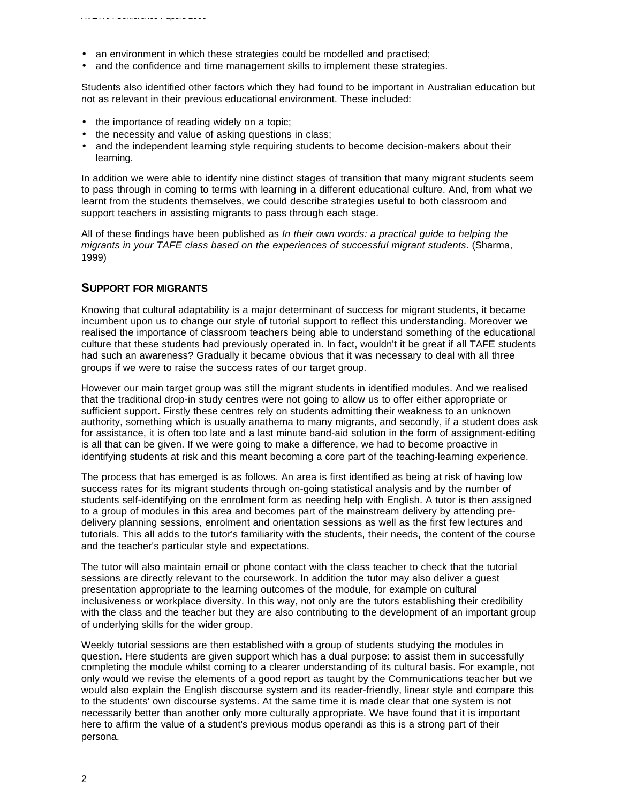- an environment in which these strategies could be modelled and practised;
- and the confidence and time management skills to implement these strategies.

Students also identified other factors which they had found to be important in Australian education but not as relevant in their previous educational environment. These included:

- the importance of reading widely on a topic;
- the necessity and value of asking questions in class;
- and the independent learning style requiring students to become decision-makers about their learning.

In addition we were able to identify nine distinct stages of transition that many migrant students seem to pass through in coming to terms with learning in a different educational culture. And, from what we learnt from the students themselves, we could describe strategies useful to both classroom and support teachers in assisting migrants to pass through each stage.

All of these findings have been published as *In their own words: a practical guide to helping the migrants in your TAFE class based on the experiences of successful migrant students*. (Sharma, 1999)

## **SUPPORT FOR MIGRANTS**

Knowing that cultural adaptability is a major determinant of success for migrant students, it became incumbent upon us to change our style of tutorial support to reflect this understanding. Moreover we realised the importance of classroom teachers being able to understand something of the educational culture that these students had previously operated in. In fact, wouldn't it be great if all TAFE students had such an awareness? Gradually it became obvious that it was necessary to deal with all three groups if we were to raise the success rates of our target group.

However our main target group was still the migrant students in identified modules. And we realised that the traditional drop-in study centres were not going to allow us to offer either appropriate or sufficient support. Firstly these centres rely on students admitting their weakness to an unknown authority, something which is usually anathema to many migrants, and secondly, if a student does ask for assistance, it is often too late and a last minute band-aid solution in the form of assignment-editing is all that can be given. If we were going to make a difference, we had to become proactive in identifying students at risk and this meant becoming a core part of the teaching-learning experience.

The process that has emerged is as follows. An area is first identified as being at risk of having low success rates for its migrant students through on-going statistical analysis and by the number of students self-identifying on the enrolment form as needing help with English. A tutor is then assigned to a group of modules in this area and becomes part of the mainstream delivery by attending predelivery planning sessions, enrolment and orientation sessions as well as the first few lectures and tutorials. This all adds to the tutor's familiarity with the students, their needs, the content of the course and the teacher's particular style and expectations.

The tutor will also maintain email or phone contact with the class teacher to check that the tutorial sessions are directly relevant to the coursework. In addition the tutor may also deliver a guest presentation appropriate to the learning outcomes of the module, for example on cultural inclusiveness or workplace diversity. In this way, not only are the tutors establishing their credibility with the class and the teacher but they are also contributing to the development of an important group of underlying skills for the wider group.

Weekly tutorial sessions are then established with a group of students studying the modules in question. Here students are given support which has a dual purpose: to assist them in successfully completing the module whilst coming to a clearer understanding of its cultural basis. For example, not only would we revise the elements of a good report as taught by the Communications teacher but we would also explain the English discourse system and its reader-friendly, linear style and compare this to the students' own discourse systems. At the same time it is made clear that one system is not necessarily better than another only more culturally appropriate. We have found that it is important here to affirm the value of a student's previous modus operandi as this is a strong part of their persona.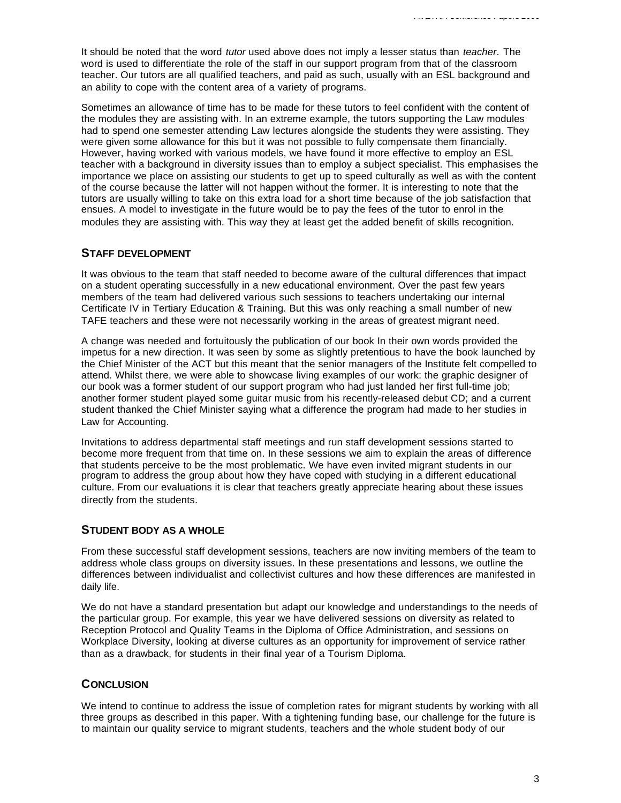It should be noted that the word *tutor* used above does not imply a lesser status than *teacher*. The word is used to differentiate the role of the staff in our support program from that of the classroom teacher. Our tutors are all qualified teachers, and paid as such, usually with an ESL background and an ability to cope with the content area of a variety of programs.

Sometimes an allowance of time has to be made for these tutors to feel confident with the content of the modules they are assisting with. In an extreme example, the tutors supporting the Law modules had to spend one semester attending Law lectures alongside the students they were assisting. They were given some allowance for this but it was not possible to fully compensate them financially. However, having worked with various models, we have found it more effective to employ an ESL teacher with a background in diversity issues than to employ a subject specialist. This emphasises the importance we place on assisting our students to get up to speed culturally as well as with the content of the course because the latter will not happen without the former. It is interesting to note that the tutors are usually willing to take on this extra load for a short time because of the job satisfaction that ensues. A model to investigate in the future would be to pay the fees of the tutor to enrol in the modules they are assisting with. This way they at least get the added benefit of skills recognition.

#### **STAFF DEVELOPMENT**

It was obvious to the team that staff needed to become aware of the cultural differences that impact on a student operating successfully in a new educational environment. Over the past few years members of the team had delivered various such sessions to teachers undertaking our internal Certificate IV in Tertiary Education & Training. But this was only reaching a small number of new TAFE teachers and these were not necessarily working in the areas of greatest migrant need.

A change was needed and fortuitously the publication of our book In their own words provided the impetus for a new direction. It was seen by some as slightly pretentious to have the book launched by the Chief Minister of the ACT but this meant that the senior managers of the Institute felt compelled to attend. Whilst there, we were able to showcase living examples of our work: the graphic designer of our book was a former student of our support program who had just landed her first full-time job; another former student played some guitar music from his recently-released debut CD; and a current student thanked the Chief Minister saying what a difference the program had made to her studies in Law for Accounting.

Invitations to address departmental staff meetings and run staff development sessions started to become more frequent from that time on. In these sessions we aim to explain the areas of difference that students perceive to be the most problematic. We have even invited migrant students in our program to address the group about how they have coped with studying in a different educational culture. From our evaluations it is clear that teachers greatly appreciate hearing about these issues directly from the students.

## **STUDENT BODY AS A WHOLE**

From these successful staff development sessions, teachers are now inviting members of the team to address whole class groups on diversity issues. In these presentations and lessons, we outline the differences between individualist and collectivist cultures and how these differences are manifested in daily life.

We do not have a standard presentation but adapt our knowledge and understandings to the needs of the particular group. For example, this year we have delivered sessions on diversity as related to Reception Protocol and Quality Teams in the Diploma of Office Administration, and sessions on Workplace Diversity, looking at diverse cultures as an opportunity for improvement of service rather than as a drawback, for students in their final year of a Tourism Diploma.

## **CONCLUSION**

We intend to continue to address the issue of completion rates for migrant students by working with all three groups as described in this paper. With a tightening funding base, our challenge for the future is to maintain our quality service to migrant students, teachers and the whole student body of our